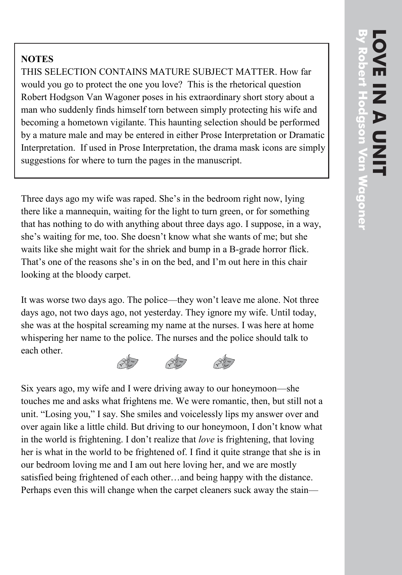## **NOTES**

THIS SELECTION CONTAINS MATURE SUBJECT MATTER. How far would you go to protect the one you love? This is the rhetorical question Robert Hodgson Van Wagoner poses in his extraordinary short story about a man who suddenly finds himself torn between simply protecting his wife and becoming a hometown vigilante. This haunting selection should be performed by a mature male and may be entered in either Prose Interpretation or Dramatic Interpretation. If used in Prose Interpretation, the drama mask icons are simply suggestions for where to turn the pages in the manuscript.

Three days ago my wife was raped. She's in the bedroom right now, lying there like a mannequin, waiting for the light to turn green, or for something that has nothing to do with anything about three days ago. I suppose, in a way, she's waiting for me, too. She doesn't know what she wants of me; but she waits like she might wait for the shriek and bump in a B-grade horror flick. That's one of the reasons she's in on the bed, and I'm out here in this chair looking at the bloody carpet.

It was worse two days ago. The police—they won't leave me alone. Not three days ago, not two days ago, not yesterday. They ignore my wife. Until today, she was at the hospital screaming my name at the nurses. I was here at home whispering her name to the police. The nurses and the police should talk to each other.

**RE**